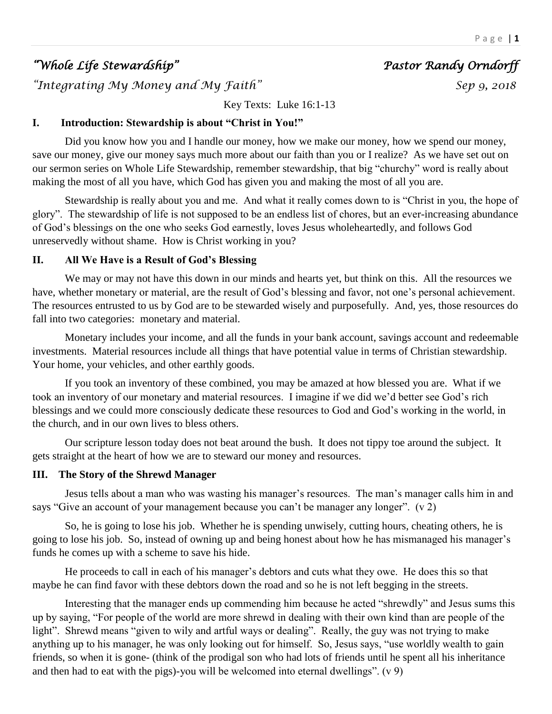# *"Whole Life Stewardship" Pastor Randy Orndorff*

*"Integrating My Money and My Faith" Sep 9, 2018* 

Key Texts: Luke 16:1-13

## **I. Introduction: Stewardship is about "Christ in You!"**

Did you know how you and I handle our money, how we make our money, how we spend our money, save our money, give our money says much more about our faith than you or I realize? As we have set out on our sermon series on Whole Life Stewardship, remember stewardship, that big "churchy" word is really about making the most of all you have, which God has given you and making the most of all you are.

Stewardship is really about you and me. And what it really comes down to is "Christ in you, the hope of glory". The stewardship of life is not supposed to be an endless list of chores, but an ever-increasing abundance of God's blessings on the one who seeks God earnestly, loves Jesus wholeheartedly, and follows God unreservedly without shame. How is Christ working in you?

## **II. All We Have is a Result of God's Blessing**

We may or may not have this down in our minds and hearts yet, but think on this. All the resources we have, whether monetary or material, are the result of God's blessing and favor, not one's personal achievement. The resources entrusted to us by God are to be stewarded wisely and purposefully. And, yes, those resources do fall into two categories: monetary and material.

Monetary includes your income, and all the funds in your bank account, savings account and redeemable investments. Material resources include all things that have potential value in terms of Christian stewardship. Your home, your vehicles, and other earthly goods.

If you took an inventory of these combined, you may be amazed at how blessed you are. What if we took an inventory of our monetary and material resources. I imagine if we did we'd better see God's rich blessings and we could more consciously dedicate these resources to God and God's working in the world, in the church, and in our own lives to bless others.

Our scripture lesson today does not beat around the bush. It does not tippy toe around the subject. It gets straight at the heart of how we are to steward our money and resources.

# **III. The Story of the Shrewd Manager**

Jesus tells about a man who was wasting his manager's resources. The man's manager calls him in and says "Give an account of your management because you can't be manager any longer". (v 2)

So, he is going to lose his job. Whether he is spending unwisely, cutting hours, cheating others, he is going to lose his job. So, instead of owning up and being honest about how he has mismanaged his manager's funds he comes up with a scheme to save his hide.

He proceeds to call in each of his manager's debtors and cuts what they owe. He does this so that maybe he can find favor with these debtors down the road and so he is not left begging in the streets.

Interesting that the manager ends up commending him because he acted "shrewdly" and Jesus sums this up by saying, "For people of the world are more shrewd in dealing with their own kind than are people of the light". Shrewd means "given to wily and artful ways or dealing". Really, the guy was not trying to make anything up to his manager, he was only looking out for himself. So, Jesus says, "use worldly wealth to gain friends, so when it is gone- (think of the prodigal son who had lots of friends until he spent all his inheritance and then had to eat with the pigs)-you will be welcomed into eternal dwellings". (v 9)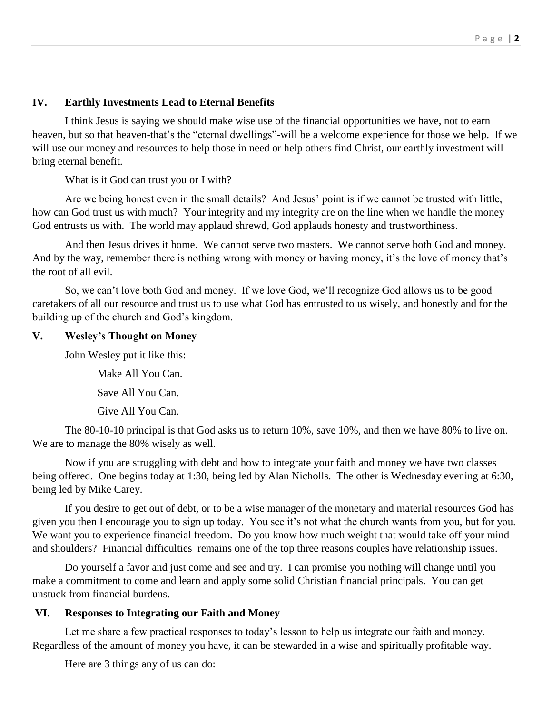## **IV. Earthly Investments Lead to Eternal Benefits**

I think Jesus is saying we should make wise use of the financial opportunities we have, not to earn heaven, but so that heaven-that's the "eternal dwellings"-will be a welcome experience for those we help. If we will use our money and resources to help those in need or help others find Christ, our earthly investment will bring eternal benefit.

What is it God can trust you or I with?

Are we being honest even in the small details? And Jesus' point is if we cannot be trusted with little, how can God trust us with much? Your integrity and my integrity are on the line when we handle the money God entrusts us with. The world may applaud shrewd, God applauds honesty and trustworthiness.

And then Jesus drives it home. We cannot serve two masters. We cannot serve both God and money. And by the way, remember there is nothing wrong with money or having money, it's the love of money that's the root of all evil.

So, we can't love both God and money. If we love God, we'll recognize God allows us to be good caretakers of all our resource and trust us to use what God has entrusted to us wisely, and honestly and for the building up of the church and God's kingdom.

#### **V. Wesley's Thought on Money**

John Wesley put it like this:

Make All You Can.

Save All You Can.

Give All You Can.

The 80-10-10 principal is that God asks us to return 10%, save 10%, and then we have 80% to live on. We are to manage the 80% wisely as well.

Now if you are struggling with debt and how to integrate your faith and money we have two classes being offered. One begins today at 1:30, being led by Alan Nicholls. The other is Wednesday evening at 6:30, being led by Mike Carey.

If you desire to get out of debt, or to be a wise manager of the monetary and material resources God has given you then I encourage you to sign up today. You see it's not what the church wants from you, but for you. We want you to experience financial freedom. Do you know how much weight that would take off your mind and shoulders? Financial difficulties remains one of the top three reasons couples have relationship issues.

Do yourself a favor and just come and see and try. I can promise you nothing will change until you make a commitment to come and learn and apply some solid Christian financial principals. You can get unstuck from financial burdens.

#### **VI. Responses to Integrating our Faith and Money**

Let me share a few practical responses to today's lesson to help us integrate our faith and money. Regardless of the amount of money you have, it can be stewarded in a wise and spiritually profitable way.

Here are 3 things any of us can do: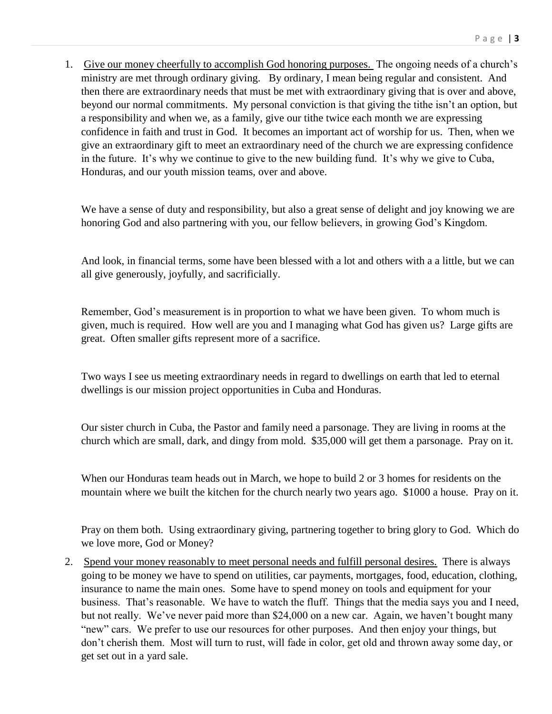1. Give our money cheerfully to accomplish God honoring purposes. The ongoing needs of a church's ministry are met through ordinary giving. By ordinary, I mean being regular and consistent. And then there are extraordinary needs that must be met with extraordinary giving that is over and above, beyond our normal commitments. My personal conviction is that giving the tithe isn't an option, but a responsibility and when we, as a family, give our tithe twice each month we are expressing confidence in faith and trust in God. It becomes an important act of worship for us. Then, when we give an extraordinary gift to meet an extraordinary need of the church we are expressing confidence in the future. It's why we continue to give to the new building fund. It's why we give to Cuba, Honduras, and our youth mission teams, over and above.

We have a sense of duty and responsibility, but also a great sense of delight and joy knowing we are honoring God and also partnering with you, our fellow believers, in growing God's Kingdom.

And look, in financial terms, some have been blessed with a lot and others with a a little, but we can all give generously, joyfully, and sacrificially.

Remember, God's measurement is in proportion to what we have been given. To whom much is given, much is required. How well are you and I managing what God has given us? Large gifts are great. Often smaller gifts represent more of a sacrifice.

Two ways I see us meeting extraordinary needs in regard to dwellings on earth that led to eternal dwellings is our mission project opportunities in Cuba and Honduras.

Our sister church in Cuba, the Pastor and family need a parsonage. They are living in rooms at the church which are small, dark, and dingy from mold. \$35,000 will get them a parsonage. Pray on it.

When our Honduras team heads out in March, we hope to build 2 or 3 homes for residents on the mountain where we built the kitchen for the church nearly two years ago. \$1000 a house. Pray on it.

Pray on them both. Using extraordinary giving, partnering together to bring glory to God. Which do we love more, God or Money?

2. Spend your money reasonably to meet personal needs and fulfill personal desires. There is always going to be money we have to spend on utilities, car payments, mortgages, food, education, clothing, insurance to name the main ones. Some have to spend money on tools and equipment for your business. That's reasonable. We have to watch the fluff. Things that the media says you and I need, but not really. We've never paid more than \$24,000 on a new car. Again, we haven't bought many "new" cars. We prefer to use our resources for other purposes. And then enjoy your things, but don't cherish them. Most will turn to rust, will fade in color, get old and thrown away some day, or get set out in a yard sale.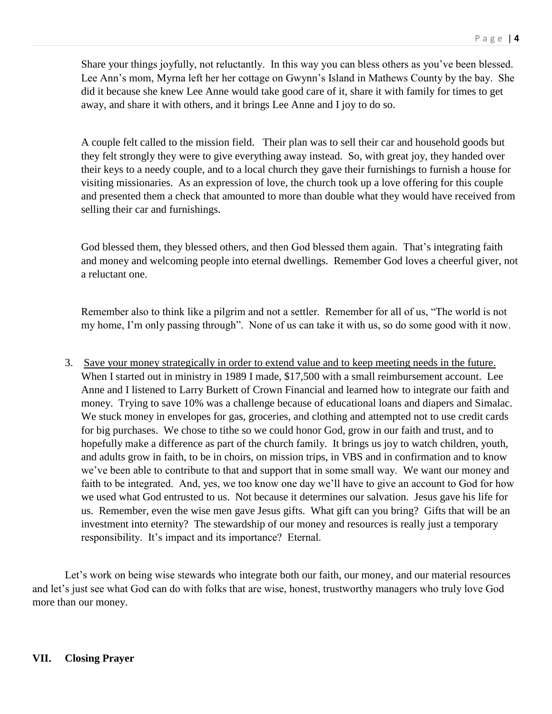Share your things joyfully, not reluctantly. In this way you can bless others as you've been blessed. Lee Ann's mom, Myrna left her her cottage on Gwynn's Island in Mathews County by the bay. She did it because she knew Lee Anne would take good care of it, share it with family for times to get away, and share it with others, and it brings Lee Anne and I joy to do so.

A couple felt called to the mission field. Their plan was to sell their car and household goods but they felt strongly they were to give everything away instead. So, with great joy, they handed over their keys to a needy couple, and to a local church they gave their furnishings to furnish a house for visiting missionaries. As an expression of love, the church took up a love offering for this couple and presented them a check that amounted to more than double what they would have received from selling their car and furnishings.

God blessed them, they blessed others, and then God blessed them again. That's integrating faith and money and welcoming people into eternal dwellings. Remember God loves a cheerful giver, not a reluctant one.

Remember also to think like a pilgrim and not a settler. Remember for all of us, "The world is not my home, I'm only passing through". None of us can take it with us, so do some good with it now.

3. Save your money strategically in order to extend value and to keep meeting needs in the future. When I started out in ministry in 1989 I made, \$17,500 with a small reimbursement account. Lee Anne and I listened to Larry Burkett of Crown Financial and learned how to integrate our faith and money. Trying to save 10% was a challenge because of educational loans and diapers and Simalac. We stuck money in envelopes for gas, groceries, and clothing and attempted not to use credit cards for big purchases. We chose to tithe so we could honor God, grow in our faith and trust, and to hopefully make a difference as part of the church family. It brings us joy to watch children, youth, and adults grow in faith, to be in choirs, on mission trips, in VBS and in confirmation and to know we've been able to contribute to that and support that in some small way. We want our money and faith to be integrated. And, yes, we too know one day we'll have to give an account to God for how we used what God entrusted to us. Not because it determines our salvation. Jesus gave his life for us. Remember, even the wise men gave Jesus gifts. What gift can you bring? Gifts that will be an investment into eternity? The stewardship of our money and resources is really just a temporary responsibility. It's impact and its importance? Eternal.

Let's work on being wise stewards who integrate both our faith, our money, and our material resources and let's just see what God can do with folks that are wise, honest, trustworthy managers who truly love God more than our money.